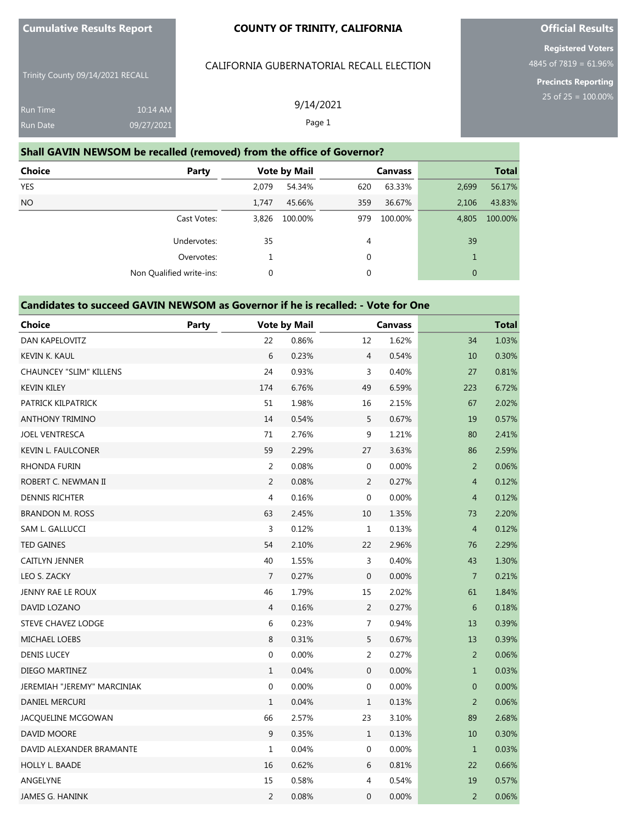**Cumulative Results Report**

#### **COUNTY OF TRINITY, CALIFORNIA**

Trinity County 09/14/2021 RECALL

| <b>Run Time</b> | $10:14$ AM |
|-----------------|------------|
| Run Date        | 09/27/2021 |

### CALIFORNIA GUBERNATORIAL RECALL ELECTION

9/14/2021

## **Official Results**

**Registered Voters** 4845 of 7819 = 61.96%

**Precincts Reporting**

|  |  |  | CALII ONNIA QODLINNATONIAL NECALE ELECTIV |  |
|--|--|--|-------------------------------------------|--|
|  |  |  |                                           |  |
|  |  |  |                                           |  |

| Run Date                                                              | 09/27/2021               | Page 1              |                |                  |  |  |  |  |
|-----------------------------------------------------------------------|--------------------------|---------------------|----------------|------------------|--|--|--|--|
| Shall GAVIN NEWSOM be recalled (removed) from the office of Governor? |                          |                     |                |                  |  |  |  |  |
| Choice                                                                | <b>Party</b>             | <b>Vote by Mail</b> | <b>Canvass</b> | <b>Total</b>     |  |  |  |  |
| <b>YES</b>                                                            |                          | 54.34%<br>2.079     | 63.33%<br>620  | 56.17%<br>2,699  |  |  |  |  |
| NO.                                                                   |                          | 1.747<br>45.66%     | 36.67%<br>359  | 43.83%<br>2,106  |  |  |  |  |
|                                                                       | Cast Votes:              | 100.00%<br>3.826    | 100.00%<br>979 | 100.00%<br>4,805 |  |  |  |  |
|                                                                       | Undervotes:              | 35                  | 4              | 39               |  |  |  |  |
|                                                                       | Overvotes:               | 1                   | $\mathbf 0$    | $\mathbf{1}$     |  |  |  |  |
|                                                                       | Non Qualified write-ins: | 0                   | 0              | $\mathbf{0}$     |  |  |  |  |

| Candidates to succeed GAVIN NEWSOM as Governor if he is recalled: - Vote for One |              |                  |                     |                |                |                |              |
|----------------------------------------------------------------------------------|--------------|------------------|---------------------|----------------|----------------|----------------|--------------|
| <b>Choice</b>                                                                    | <b>Party</b> |                  | <b>Vote by Mail</b> |                | <b>Canvass</b> |                | <b>Total</b> |
| DAN KAPELOVITZ                                                                   |              | 22               | 0.86%               | 12             | 1.62%          | 34             | 1.03%        |
| KEVIN K. KAUL                                                                    |              | 6                | 0.23%               | $\overline{4}$ | 0.54%          | 10             | 0.30%        |
| <b>CHAUNCEY "SLIM" KILLENS</b>                                                   |              | 24               | 0.93%               | 3              | 0.40%          | 27             | 0.81%        |
| <b>KEVIN KILEY</b>                                                               |              | 174              | 6.76%               | 49             | 6.59%          | 223            | 6.72%        |
| PATRICK KILPATRICK                                                               |              | 51               | 1.98%               | 16             | 2.15%          | 67             | 2.02%        |
| <b>ANTHONY TRIMINO</b>                                                           |              | 14               | 0.54%               | 5              | 0.67%          | 19             | 0.57%        |
| <b>JOEL VENTRESCA</b>                                                            |              | 71               | 2.76%               | 9              | 1.21%          | 80             | 2.41%        |
| <b>KEVIN L. FAULCONER</b>                                                        |              | 59               | 2.29%               | 27             | 3.63%          | 86             | 2.59%        |
| <b>RHONDA FURIN</b>                                                              |              | 2                | 0.08%               | 0              | 0.00%          | 2              | 0.06%        |
| ROBERT C. NEWMAN II                                                              |              | 2                | 0.08%               | 2              | 0.27%          | $\overline{4}$ | 0.12%        |
| <b>DENNIS RICHTER</b>                                                            |              | $\overline{4}$   | 0.16%               | $\mathbf{0}$   | 0.00%          | $\overline{4}$ | 0.12%        |
| <b>BRANDON M. ROSS</b>                                                           |              | 63               | 2.45%               | 10             | 1.35%          | 73             | 2.20%        |
| SAM L. GALLUCCI                                                                  |              | $\overline{3}$   | 0.12%               | $\mathbf{1}$   | 0.13%          | $\overline{4}$ | 0.12%        |
| <b>TED GAINES</b>                                                                |              | 54               | 2.10%               | 22             | 2.96%          | 76             | 2.29%        |
| <b>CAITLYN JENNER</b>                                                            |              | 40               | 1.55%               | 3              | 0.40%          | 43             | 1.30%        |
| LEO S. ZACKY                                                                     |              | $\overline{7}$   | 0.27%               | $\mathbf{0}$   | 0.00%          | $\overline{7}$ | 0.21%        |
| JENNY RAE LE ROUX                                                                |              | 46               | 1.79%               | 15             | 2.02%          | 61             | 1.84%        |
| DAVID LOZANO                                                                     |              | $\overline{4}$   | 0.16%               | $\overline{2}$ | 0.27%          | 6              | 0.18%        |
| STEVE CHAVEZ LODGE                                                               |              | 6                | 0.23%               | 7              | 0.94%          | 13             | 0.39%        |
| MICHAEL LOEBS                                                                    |              | 8                | 0.31%               | 5              | 0.67%          | 13             | 0.39%        |
| <b>DENIS LUCEY</b>                                                               |              | $\boldsymbol{0}$ | 0.00%               | 2              | 0.27%          | $\overline{2}$ | 0.06%        |
| DIEGO MARTINEZ                                                                   |              | $\mathbf{1}$     | 0.04%               | $\mathbf 0$    | 0.00%          | $\mathbf{1}$   | 0.03%        |
| JEREMIAH "JEREMY" MARCINIAK                                                      |              | $\boldsymbol{0}$ | 0.00%               | $\mathbf 0$    | 0.00%          | $\mathbf{0}$   | 0.00%        |
| DANIEL MERCURI                                                                   |              | $\mathbf{1}$     | 0.04%               | $\mathbf{1}$   | 0.13%          | $\overline{2}$ | 0.06%        |
| JACQUELINE MCGOWAN                                                               |              | 66               | 2.57%               | 23             | 3.10%          | 89             | 2.68%        |
| DAVID MOORE                                                                      |              | 9                | 0.35%               | $\mathbf{1}$   | 0.13%          | 10             | 0.30%        |
| DAVID ALEXANDER BRAMANTE                                                         |              | $\mathbf{1}$     | 0.04%               | 0              | 0.00%          | $\mathbf{1}$   | 0.03%        |
| <b>HOLLY L. BAADE</b>                                                            |              | 16               | 0.62%               | 6              | 0.81%          | 22             | 0.66%        |
| ANGELYNE                                                                         |              | 15               | 0.58%               | 4              | 0.54%          | 19             | 0.57%        |
| <b>JAMES G. HANINK</b>                                                           |              | $\overline{2}$   | 0.08%               | $\mathbf{0}$   | 0.00%          | $\overline{2}$ | 0.06%        |